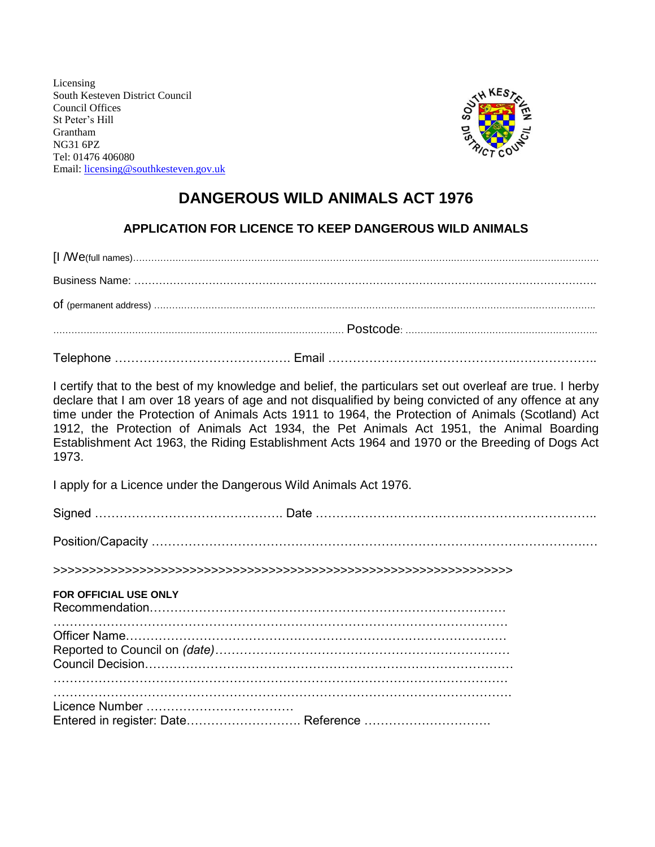Licensing South Kesteven District Council Council Offices St Peter's Hill Grantham NG31 6PZ Tel: 01476 406080 Email: [licensing@southkesteven.gov.uk](mailto:licensing@southkesteven.gov.uk)



# **DANGEROUS WILD ANIMALS ACT 1976**

#### **APPLICATION FOR LICENCE TO KEEP DANGEROUS WILD ANIMALS**

I certify that to the best of my knowledge and belief, the particulars set out overleaf are true. I herby declare that I am over 18 years of age and not disqualified by being convicted of any offence at any time under the Protection of Animals Acts 1911 to 1964, the Protection of Animals (Scotland) Act 1912, the Protection of Animals Act 1934, the Pet Animals Act 1951, the Animal Boarding Establishment Act 1963, the Riding Establishment Acts 1964 and 1970 or the Breeding of Dogs Act 1973.

I apply for a Licence under the Dangerous Wild Animals Act 1976.

| <b>FOR OFFICIAL USE ONLY</b>        |
|-------------------------------------|
|                                     |
| Entered in register: Date Reference |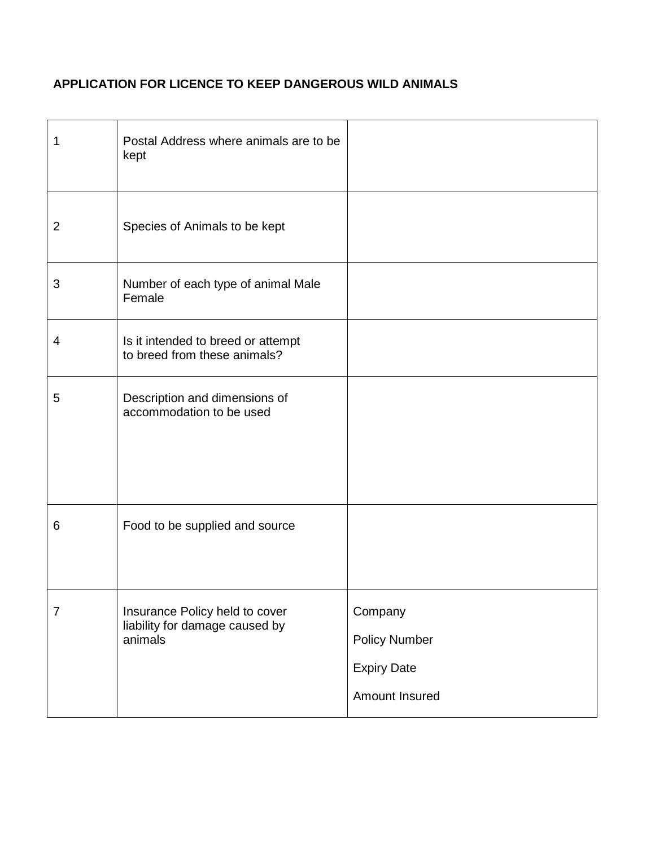## **APPLICATION FOR LICENCE TO KEEP DANGEROUS WILD ANIMALS**

| 1              | Postal Address where animals are to be<br>kept                              |                                                                         |
|----------------|-----------------------------------------------------------------------------|-------------------------------------------------------------------------|
| $\overline{2}$ | Species of Animals to be kept                                               |                                                                         |
| 3              | Number of each type of animal Male<br>Female                                |                                                                         |
| 4              | Is it intended to breed or attempt<br>to breed from these animals?          |                                                                         |
| 5              | Description and dimensions of<br>accommodation to be used                   |                                                                         |
| 6              | Food to be supplied and source                                              |                                                                         |
| $\overline{7}$ | Insurance Policy held to cover<br>liability for damage caused by<br>animals | Company<br><b>Policy Number</b><br><b>Expiry Date</b><br>Amount Insured |